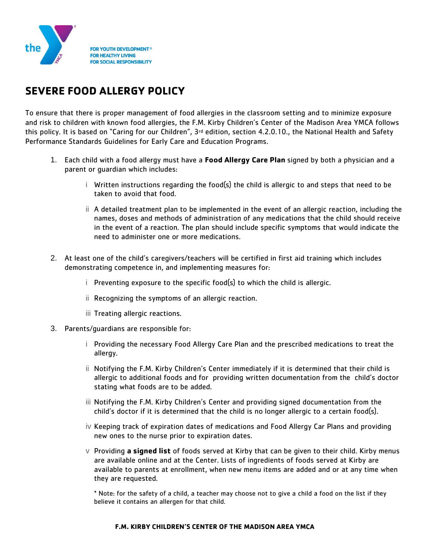

## **SEVERE FOOD ALLERGY POLICY**

To ensure that there is proper management of food allergies in the classroom setting and to minimize exposure and risk to children with known food allergies, the F.M. Kirby Children's Center of the Madison Area YMCA follows this policy. It is based on "Caring for our Children", 3<sup>rd</sup> edition, section 4.2.0.10., the National Health and Safety Performance Standards Guidelines for Early Care and Education Programs.

- 1. Each child with a food allergy must have a **Food Allergy Care Plan** signed by both a physician and a parent or guardian which includes:
	- i Written instructions regarding the food(s) the child is allergic to and steps that need to be taken to avoid that food.
	- ii A detailed treatment plan to be implemented in the event of an allergic reaction, including the names, doses and methods of administration of any medications that the child should receive in the event of a reaction. The plan should include specific symptoms that would indicate the need to administer one or more medications.
- 2. At least one of the child's caregivers/teachers will be certified in first aid training which includes demonstrating competence in, and implementing measures for:
	- i Preventing exposure to the specific food(s) to which the child is allergic.
	- ii Recognizing the symptoms of an allergic reaction.
	- iii Treating allergic reactions.
- 3. Parents/guardians are responsible for:
	- i Providing the necessary Food Allergy Care Plan and the prescribed medications to treat the allergy.
	- ii Notifying the F.M. Kirby Children's Center immediately if it is determined that their child is allergic to additional foods and for providing written documentation from the child's doctor stating what foods are to be added.
	- iii Notifying the F.M. Kirby Children's Center and providing signed documentation from the child's doctor if it is determined that the child is no longer allergic to a certain food(s).
	- iv Keeping track of expiration dates of medications and Food Allergy Car Plans and providing new ones to the nurse prior to expiration dates.
	- v Providing **a signed list** of foods served at Kirby that can be given to their child. Kirby menus are available online and at the Center. Lists of ingredients of foods served at Kirby are available to parents at enrollment, when new menu items are added and or at any time when they are requested.

\* Note: for the safety of a child, a teacher may choose not to give a child a food on the list if they believe it contains an allergen for that child.

## **F.M. KIRBY CHILDREN'S CENTER OF THE MADISON AREA YMCA**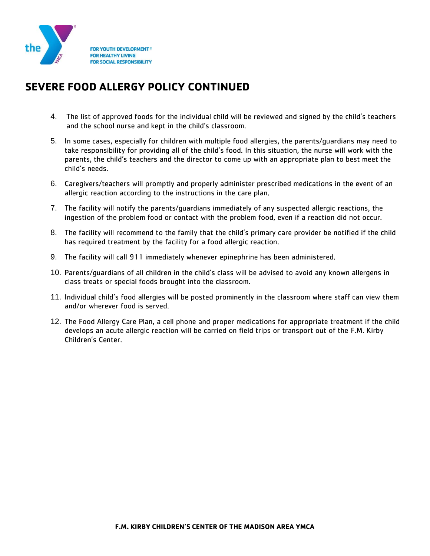

## **SEVERE FOOD ALLERGY POLICY CONTINUED**

- 4. The list of approved foods for the individual child will be reviewed and signed by the child's teachers and the school nurse and kept in the child's classroom.
- 5. In some cases, especially for children with multiple food allergies, the parents/guardians may need to take responsibility for providing all of the child's food. In this situation, the nurse will work with the parents, the child's teachers and the director to come up with an appropriate plan to best meet the child's needs.
- 6. Caregivers/teachers will promptly and properly administer prescribed medications in the event of an allergic reaction according to the instructions in the care plan.
- 7. The facility will notify the parents/guardians immediately of any suspected allergic reactions, the ingestion of the problem food or contact with the problem food, even if a reaction did not occur.
- 8. The facility will recommend to the family that the child's primary care provider be notified if the child has required treatment by the facility for a food allergic reaction.
- 9. The facility will call 911 immediately whenever epinephrine has been administered.
- 10. Parents/guardians of all children in the child's class will be advised to avoid any known allergens in class treats or special foods brought into the classroom.
- 11. Individual child's food allergies will be posted prominently in the classroom where staff can view them and/or wherever food is served.
- 12. The Food Allergy Care Plan, a cell phone and proper medications for appropriate treatment if the child develops an acute allergic reaction will be carried on field trips or transport out of the F.M. Kirby Children's Center.